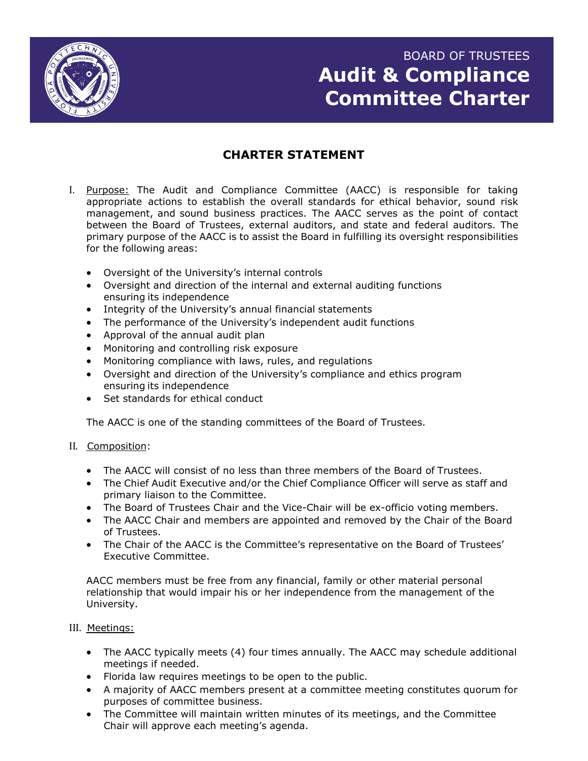

# BOARD OF TRUSTEES **Audit & Compliance Committee Charter**

# **CHARTER STATEMENT**

- I. Purpose: The Audit and Compliance Committee (AACC) is responsible for taking appropriate actions to establish the overall standards for ethical behavior, sound risk management, and sound business practices. The AACC serves as the point of contact between the Board of Trustees, external auditors, and state and federal auditors. The primary purpose of the AACC is to assist the Board in fulfilling its oversight responsibilities for the following areas:
	- Oversight of the University's internal controls
	- Oversight and direction of the internal and external auditing functions ensuring its independence
	- Integrity of the University's annual financial statements
	- The performance of the University's independent audit functions
	- Approval of the annual audit plan
	- Monitoring and controlling risk exposure
	- Monitoring compliance with laws, rules, and regulations
	- Oversight and direction of the University's compliance and ethics program ensuring its independence
	- Set standards for ethical conduct

The AACC is one of the standing committees of the Board of Trustees.

- II. Composition:
	- The AACC will consist of no less than three members of the Board of Trustees.
	- The Chief Audit Executive and/or the Chief Compliance Officer will serve as staff and primary liaison to the Committee.
	- The Board of Trustees Chair and the Vice-Chair will be ex-officio voting members.
	- The AACC Chair and members are appointed and removed by the Chair of the Board of Trustees.
	- The Chair of the AACC is the Committee's representative on the Board of Trustees' Executive Committee.

AACC members must be free from any financial, family or other material personal relationship that would impair his or her independence from the management of the University.

## III. Meetings:

- The AACC typically meets (4) four times annually. The AACC may schedule additional meetings if needed.
- Florida law requires meetings to be open to the public.
- A majority of AACC members present at a committee meeting constitutes quorum for purposes of committee business.
- The Committee will maintain written minutes of its meetings, and the Committee Chair will approve each meeting's agenda.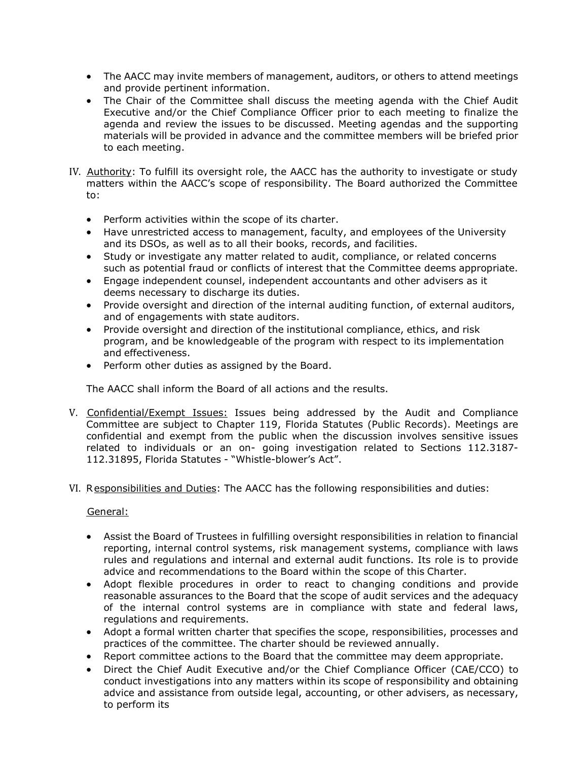- The AACC may invite members of management, auditors, or others to attend meetings and provide pertinent information.
- The Chair of the Committee shall discuss the meeting agenda with the Chief Audit Executive and/or the Chief Compliance Officer prior to each meeting to finalize the agenda and review the issues to be discussed. Meeting agendas and the supporting materials will be provided in advance and the committee members will be briefed prior to each meeting.
- IV. Authority: To fulfill its oversight role, the AACC has the authority to investigate or study matters within the AACC's scope of responsibility. The Board authorized the Committee to:
	- Perform activities within the scope of its charter.
	- Have unrestricted access to management, faculty, and employees of the University and its DSOs, as well as to all their books, records, and facilities.
	- Study or investigate any matter related to audit, compliance, or related concerns such as potential fraud or conflicts of interest that the Committee deems appropriate.
	- Engage independent counsel, independent accountants and other advisers as it deems necessary to discharge its duties.
	- Provide oversight and direction of the internal auditing function, of external auditors, and of engagements with state auditors.
	- Provide oversight and direction of the institutional compliance, ethics, and risk program, and be knowledgeable of the program with respect to its implementation and effectiveness.
	- Perform other duties as assigned by the Board.

The AACC shall inform the Board of all actions and the results.

- V. Confidential/Exempt Issues: Issues being addressed by the Audit and Compliance Committee are subject to Chapter 119, Florida Statutes (Public Records). Meetings are confidential and exempt from the public when the discussion involves sensitive issues related to individuals or an on- going investigation related to Sections 112.3187- 112.31895, Florida Statutes - "Whistle-blower's Act".
- VI. Responsibilities and Duties: The AACC has the following responsibilities and duties:

## General:

- Assist the Board of Trustees in fulfilling oversight responsibilities in relation to financial reporting, internal control systems, risk management systems, compliance with laws rules and regulations and internal and external audit functions. Its role is to provide advice and recommendations to the Board within the scope of this Charter.
- Adopt flexible procedures in order to react to changing conditions and provide reasonable assurances to the Board that the scope of audit services and the adequacy of the internal control systems are in compliance with state and federal laws, regulations and requirements.
- Adopt a formal written charter that specifies the scope, responsibilities, processes and practices of the committee. The charter should be reviewed annually.
- Report committee actions to the Board that the committee may deem appropriate.
- Direct the Chief Audit Executive and/or the Chief Compliance Officer (CAE/CCO) to conduct investigations into any matters within its scope of responsibility and obtaining advice and assistance from outside legal, accounting, or other advisers, as necessary, to perform its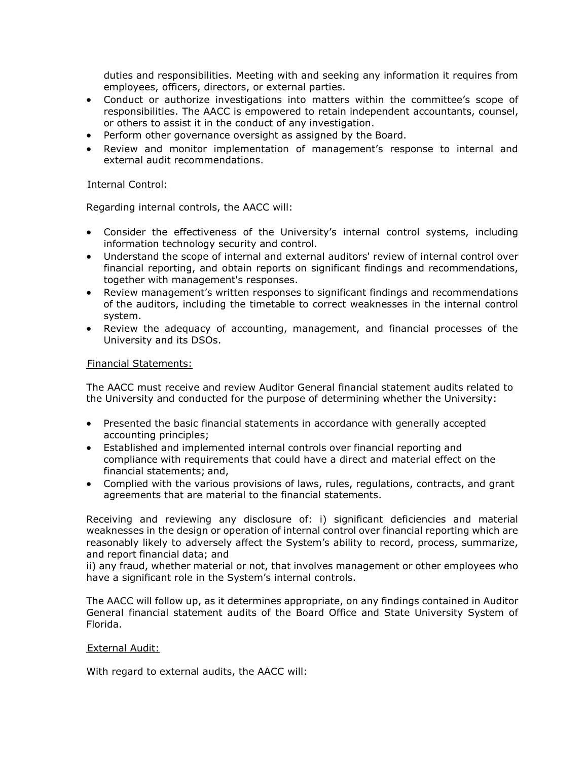duties and responsibilities. Meeting with and seeking any information it requires from employees, officers, directors, or external parties.

- Conduct or authorize investigations into matters within the committee's scope of responsibilities. The AACC is empowered to retain independent accountants, counsel, or others to assist it in the conduct of any investigation.
- Perform other governance oversight as assigned by the Board.
- Review and monitor implementation of management's response to internal and external audit recommendations.

#### Internal Control:

Regarding internal controls, the AACC will:

- Consider the effectiveness of the University's internal control systems, including information technology security and control.
- Understand the scope of internal and external auditors' review of internal control over financial reporting, and obtain reports on significant findings and recommendations, together with management's responses.
- Review management's written responses to significant findings and recommendations of the auditors, including the timetable to correct weaknesses in the internal control system.
- Review the adequacy of accounting, management, and financial processes of the University and its DSOs.

#### Financial Statements:

The AACC must receive and review Auditor General financial statement audits related to the University and conducted for the purpose of determining whether the University:

- Presented the basic financial statements in accordance with generally accepted accounting principles;
- Established and implemented internal controls over financial reporting and compliance with requirements that could have a direct and material effect on the financial statements; and,
- Complied with the various provisions of laws, rules, regulations, contracts, and grant agreements that are material to the financial statements.

Receiving and reviewing any disclosure of: i) significant deficiencies and material weaknesses in the design or operation of internal control over financial reporting which are reasonably likely to adversely affect the System's ability to record, process, summarize, and report financial data; and

ii) any fraud, whether material or not, that involves management or other employees who have a significant role in the System's internal controls.

The AACC will follow up, as it determines appropriate, on any findings contained in Auditor General financial statement audits of the Board Office and State University System of Florida.

#### External Audit:

With regard to external audits, the AACC will: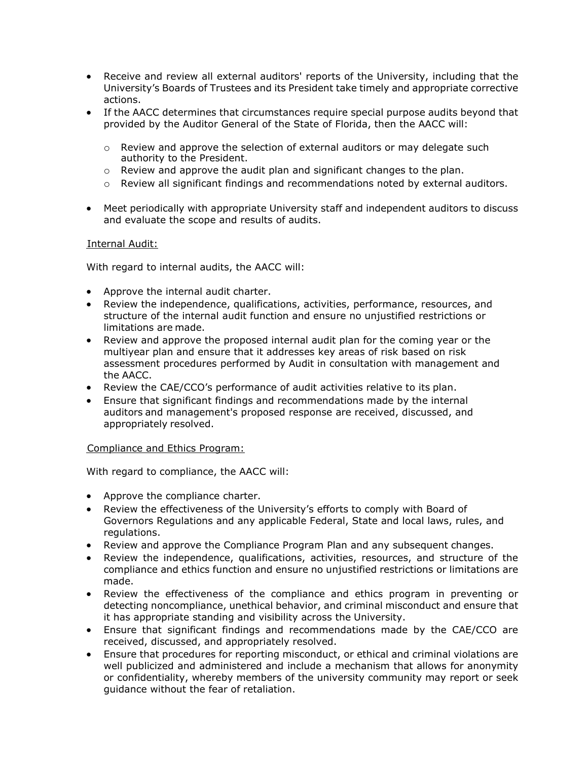- Receive and review all external auditors' reports of the University, including that the University's Boards of Trustees and its President take timely and appropriate corrective actions.
- If the AACC determines that circumstances require special purpose audits beyond that provided by the Auditor General of the State of Florida, then the AACC will:
	- $\circ$  Review and approve the selection of external auditors or may delegate such authority to the President.
	- $\circ$  Review and approve the audit plan and significant changes to the plan.
	- $\circ$  Review all significant findings and recommendations noted by external auditors.
- Meet periodically with appropriate University staff and independent auditors to discuss and evaluate the scope and results of audits.

## Internal Audit:

With regard to internal audits, the AACC will:

- Approve the internal audit charter.
- Review the independence, qualifications, activities, performance, resources, and structure of the internal audit function and ensure no unjustified restrictions or limitations are made.
- Review and approve the proposed internal audit plan for the coming year or the multiyear plan and ensure that it addresses key areas of risk based on risk assessment procedures performed by Audit in consultation with management and the AACC.
- Review the CAE/CCO's performance of audit activities relative to its plan.
- Ensure that significant findings and recommendations made by the internal auditors and management's proposed response are received, discussed, and appropriately resolved.

#### Compliance and Ethics Program:

With regard to compliance, the AACC will:

- Approve the compliance charter.
- Review the effectiveness of the University's efforts to comply with Board of Governors Regulations and any applicable Federal, State and local laws, rules, and regulations.
- Review and approve the Compliance Program Plan and any subsequent changes.
- Review the independence, qualifications, activities, resources, and structure of the compliance and ethics function and ensure no unjustified restrictions or limitations are made.
- Review the effectiveness of the compliance and ethics program in preventing or detecting noncompliance, unethical behavior, and criminal misconduct and ensure that it has appropriate standing and visibility across the University.
- Ensure that significant findings and recommendations made by the CAE/CCO are received, discussed, and appropriately resolved.
- Ensure that procedures for reporting misconduct, or ethical and criminal violations are well publicized and administered and include a mechanism that allows for anonymity or confidentiality, whereby members of the university community may report or seek guidance without the fear of retaliation.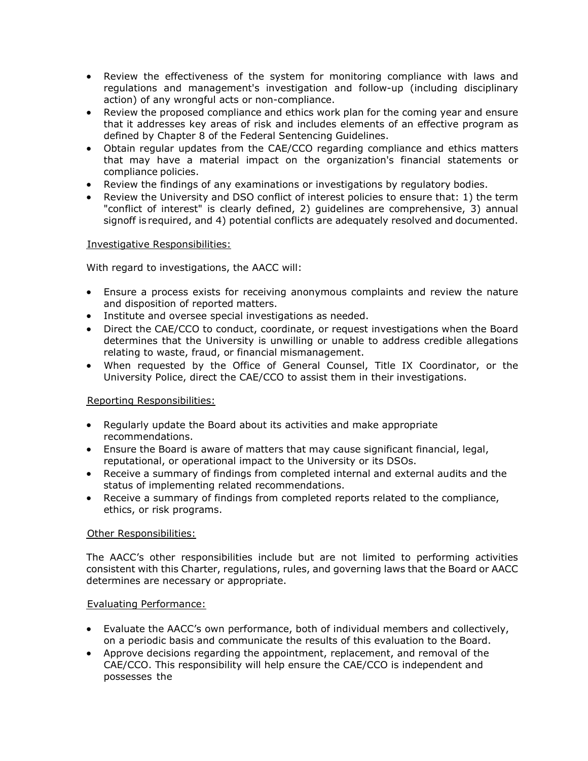- Review the effectiveness of the system for monitoring compliance with laws and regulations and management's investigation and follow-up (including disciplinary action) of any wrongful acts or non-compliance.
- Review the proposed compliance and ethics work plan for the coming year and ensure that it addresses key areas of risk and includes elements of an effective program as defined by Chapter 8 of the Federal Sentencing Guidelines.
- Obtain regular updates from the CAE/CCO regarding compliance and ethics matters that may have a material impact on the organization's financial statements or compliance policies.
- Review the findings of any examinations or investigations by regulatory bodies.
- Review the University and DSO conflict of interest policies to ensure that: 1) the term "conflict of interest" is clearly defined, 2) guidelines are comprehensive, 3) annual signoff is required, and 4) potential conflicts are adequately resolved and documented.

# Investigative Responsibilities:

With regard to investigations, the AACC will:

- Ensure a process exists for receiving anonymous complaints and review the nature and disposition of reported matters.
- Institute and oversee special investigations as needed.
- Direct the CAE/CCO to conduct, coordinate, or request investigations when the Board determines that the University is unwilling or unable to address credible allegations relating to waste, fraud, or financial mismanagement.
- When requested by the Office of General Counsel, Title IX Coordinator, or the University Police, direct the CAE/CCO to assist them in their investigations.

# Reporting Responsibilities:

- Regularly update the Board about its activities and make appropriate recommendations.
- Ensure the Board is aware of matters that may cause significant financial, legal, reputational, or operational impact to the University or its DSOs.
- Receive a summary of findings from completed internal and external audits and the status of implementing related recommendations.
- Receive a summary of findings from completed reports related to the compliance, ethics, or risk programs.

# Other Responsibilities:

The AACC's other responsibilities include but are not limited to performing activities consistent with this Charter, regulations, rules, and governing laws that the Board or AACC determines are necessary or appropriate.

## Evaluating Performance:

- Evaluate the AACC's own performance, both of individual members and collectively, on a periodic basis and communicate the results of this evaluation to the Board.
- Approve decisions regarding the appointment, replacement, and removal of the CAE/CCO. This responsibility will help ensure the CAE/CCO is independent and possesses the